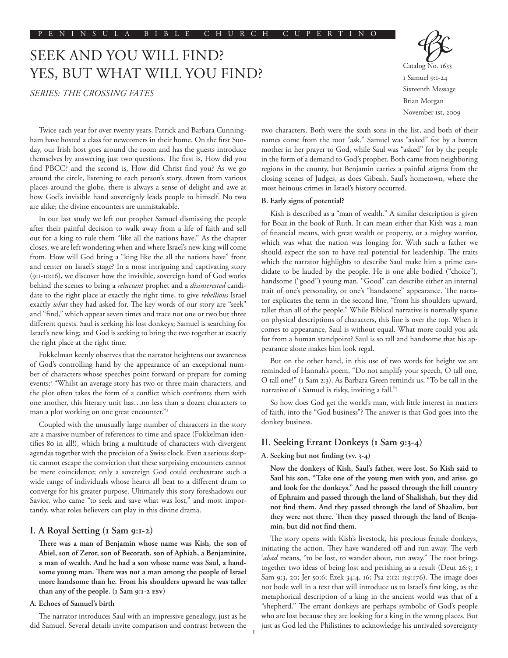# SEEK AND YOU WILL FIND? YES, BUT WHAT WILL YOU FIND?

*SERIES: THE CROSSING FATES*



Twice each year for over twenty years, Patrick and Barbara Cunningham have hosted a class for newcomers in their home. On the first Sunday, our Irish host goes around the room and has the guests introduce themselves by answering just two questions. The first is, How did you find PBCC? and the second is, How did Christ find you? As we go around the circle, listening to each person's story, drawn from various places around the globe, there is always a sense of delight and awe at how God's invisible hand sovereignly leads people to himself. No two are alike; the divine encounters are unmistakable.

In our last study we left our prophet Samuel dismissing the people after their painful decision to walk away from a life of faith and sell out for a king to rule them "like all the nations have." As the chapter closes, we are left wondering when and where Israel's new king will come from. How will God bring a "king like the all the nations have" front and center on Israel's stage? In a most intriguing and captivating story (9:1-10:16), we discover how the invisible, sovereign hand of God works behind the scenes to bring a *reluctant* prophet and a *disinterested* candidate to the right place at exactly the right time, to give *rebellious* Israel exactly *what* they had asked for. The key words of our story are "seek" and "find," which appear seven times and trace not one or two but three different quests. Saul is seeking his lost donkeys; Samuel is searching for Israel's new king; and God is seeking to bring the two together at exactly the right place at the right time.

Fokkelman keenly observes that the narrator heightens our awareness of God's controlling hand by the appearance of an exceptional number of characters whose speeches point forward or prepare for coming events:<sup>1</sup> "Whilst an average story has two or three main characters, and the plot often takes the form of a conflict which confronts them with one another, this literary unit has…no less than a dozen characters to man a plot working on one great encounter."<sup>2</sup>

Coupled with the unusually large number of characters in the story are a massive number of references to time and space (Fokkelman identifies 80 in all!), which bring a multitude of characters with divergent agendas together with the precision of a Swiss clock. Even a serious skeptic cannot escape the conviction that these surprising encounters cannot be mere coincidence; only a sovereign God could orchestrate such a wide range of individuals whose hearts all beat to a different drum to converge for his greater purpose. Ultimately this story foreshadows our Savior, who came "to seek and save what was lost," and most importantly, what roles believers can play in this divine drama.

## **I. A Royal Setting (1 Sam 9:1-2)**

**There was a man of Benjamin whose name was Kish, the son of Abiel, son of Zeror, son of Becorath, son of Aphiah, a Benjaminite, a man of wealth. And he had a son whose name was Saul, a handsome young man. There was not a man among the people of Israel more handsome than he. From his shoulders upward he was taller than any of the people. (1 Sam 9:1-2 esv)**

## **A. Echoes of Samuel's birth**

The narrator introduces Saul with an impressive genealogy, just as he did Samuel. Several details invite comparison and contrast between the two characters. Both were the sixth sons in the list, and both of their names come from the root "ask." Samuel was "asked" for by a barren mother in her prayer to God, while Saul was "asked" for by the people in the form of a demand to God's prophet. Both came from neighboring regions in the county, but Benjamin carries a painful stigma from the closing scenes of Judges, as does Gibeah, Saul's hometown, where the most heinous crimes in Israel's history occurred.

## **B. Early signs of potential?**

Kish is described as a "man of wealth." A similar description is given for Boaz in the book of Ruth. It can mean either that Kish was a man of financial means, with great wealth or property, or a mighty warrior, which was what the nation was longing for. With such a father we should expect the son to have real potential for leadership. The traits which the narrator highlights to describe Saul make him a prime candidate to be lauded by the people. He is one able bodied ("choice"), handsome ("good") young man. "Good" can describe either an internal trait of one's personality, or one's "handsome" appearance. The narrator explicates the term in the second line, "from his shoulders upward, taller than all of the people." While Biblical narrative is normally sparse on physical descriptions of characters, this line is over the top. When it comes to appearance, Saul is without equal. What more could you ask for from a human standpoint? Saul is so tall and handsome that his appearance alone makes him look regal.

But on the other hand, in this use of two words for height we are reminded of Hannah's poem, "Do not amplify your speech, O tall one, O tall one!" (1 Sam 2:3). As Barbara Green reminds us, "To be tall in the narrative of 1 Samuel is risky, inviting a fall."3

So how does God get the world's man, with little interest in matters of faith, into the "God business"? The answer is that God goes into the donkey business.

# **II. Seeking Errant Donkeys (1 Sam 9:3-4)**

### **A. Seeking but not finding (vv. 3-4)**

**Now the donkeys of Kish, Saul's father, were lost. So Kish said to Saul his son, "Take one of the young men with you, and arise, go and look for the donkeys." And he passed through the hill country of Ephraim and passed through the land of Shalishah, but they did not find them. And they passed through the land of Shaalim, but they were not there. Then they passed through the land of Benjamin, but did not find them.**

The story opens with Kish's livestock, his precious female donkeys, initiating the action. They have wandered off and run away. The verb '*abad* means, "to be lost, to wander about, run away." The root brings together two ideas of being lost and perishing as a result (Deut 26:5; 1 Sam 9:3, 20; Jer 50:6; Ezek 34:4, 16; Psa 2:12; 119:176). The image does not bode well in a text that will introduce us to Israel's first king, as the metaphorical description of a king in the ancient world was that of a "shepherd." The errant donkeys are perhaps symbolic of God's people who are lost because they are looking for a king in the wrong places. But just as God led the Philistines to acknowledge his unrivaled sovereignty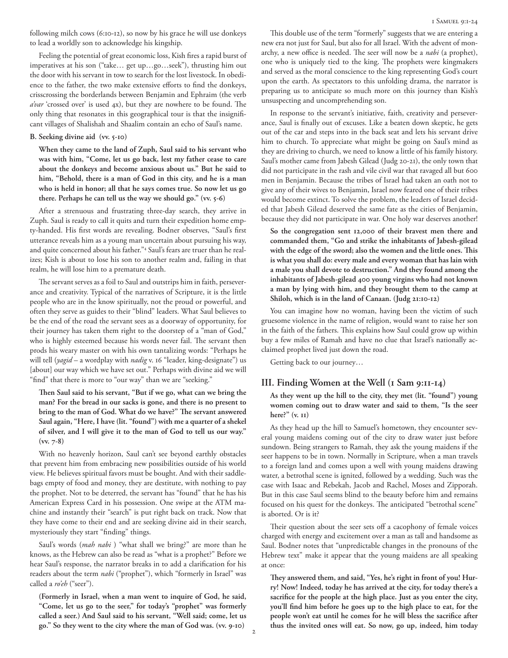Feeling the potential of great economic loss, Kish fires a rapid burst of imperatives at his son ("take… get up…go…seek"), thrusting him out the door with his servant in tow to search for the lost livestock. In obedience to the father, the two make extensive efforts to find the donkeys, crisscrossing the borderlands between Benjamin and Ephraim (the verb *a'var* 'crossed over' is used 4x), but they are nowhere to be found. The only thing that resonates in this geographical tour is that the insignificant villages of Shalishah and Shaalim contain an echo of Saul's name.

## **B. Seeking divine aid (vv. 5-10)**

**When they came to the land of Zuph, Saul said to his servant who was with him, "Come, let us go back, lest my father cease to care about the donkeys and become anxious about us." But he said to him, "Behold, there is a man of God in this city, and he is a man who is held in honor; all that he says comes true. So now let us go there. Perhaps he can tell us the way we should go." (vv. 5-6)**

After a strenuous and frustrating three-day search, they arrive in Zuph. Saul is ready to call it quits and turn their expedition home empty-handed. His first words are revealing. Bodner observes, "Saul's first utterance reveals him as a young man uncertain about pursuing his way, and quite concerned about his father."4 Saul's fears are truer than he realizes; Kish is about to lose his son to another realm and, failing in that realm, he will lose him to a premature death.

The servant serves as a foil to Saul and outstrips him in faith, perseverance and creativity. Typical of the narratives of Scripture, it is the little people who are in the know spiritually, not the proud or powerful, and often they serve as guides to their "blind" leaders. What Saul believes to be the end of the road the servant sees as a doorway of opportunity, for their journey has taken them right to the doorstep of a "man of God," who is highly esteemed because his words never fail. The servant then prods his weary master on with his own tantalizing words: "Perhaps he will tell (*yagid* – a wordplay with *nadig* v. 16 "leader, king-designate") us [about] our way which we have set out." Perhaps with divine aid we will "find" that there is more to "our way" than we are "seeking."

**Then Saul said to his servant, "But if we go, what can we bring the man? For the bread in our sacks is gone, and there is no present to bring to the man of God. What do we have?" The servant answered Saul again, "Here, I have (lit. "found") with me a quarter of a shekel of silver, and I will give it to the man of God to tell us our way." (vv. 7-8)**

With no heavenly horizon, Saul can't see beyond earthly obstacles that prevent him from embracing new possibilities outside of his world view. He believes spiritual favors must be bought. And with their saddlebags empty of food and money, they are destitute, with nothing to pay the prophet. Not to be deterred, the servant has "found" that he has his American Express Card in his possession. One swipe at the ATM machine and instantly their "search" is put right back on track. Now that they have come to their end and are seeking divine aid in their search, mysteriously they start "finding" things.

Saul's words (*mah nabi* ) "what shall we bring?" are more than he knows, as the Hebrew can also be read as "what is a prophet?" Before we hear Saul's response, the narrator breaks in to add a clarification for his readers about the term *nabi* ("prophet"), which "formerly in Israel" was called a *ro'eh* ("seer").

**(Formerly in Israel, when a man went to inquire of God, he said, "Come, let us go to the seer," for today's "prophet" was formerly called a seer.) And Saul said to his servant, "Well said; come, let us go." So they went to the city where the man of God was. (vv. 9-10)**

This double use of the term "formerly" suggests that we are entering a new era not just for Saul, but also for all Israel. With the advent of monarchy, a new office is needed. The seer will now be a *nabi* (a prophet), one who is uniquely tied to the king. The prophets were kingmakers and served as the moral conscience to the king representing God's court upon the earth. As spectators to this unfolding drama, the narrator is preparing us to anticipate so much more on this journey than Kish's unsuspecting and uncomprehending son.

In response to the servant's initiative, faith, creativity and perseverance, Saul is finally out of excuses. Like a beaten down skeptic, he gets out of the car and steps into in the back seat and lets his servant drive him to church. To appreciate what might be going on Saul's mind as they are driving to church, we need to know a little of his family history. Saul's mother came from Jabesh Gilead (Judg 20-21), the only town that did not participate in the rash and vile civil war that ravaged all but 600 men in Benjamin. Because the tribes of Israel had taken an oath not to give any of their wives to Benjamin, Israel now feared one of their tribes would become extinct. To solve the problem, the leaders of Israel decided that Jabesh Gilead deserved the same fate as the cities of Benjamin, because they did not participate in war. One holy war deserves another!

**So the congregation sent 12,000 of their bravest men there and commanded them, "Go and strike the inhabitants of Jabesh-gilead with the edge of the sword; also the women and the little ones. This is what you shall do: every male and every woman that has lain with a male you shall devote to destruction." And they found among the inhabitants of Jabesh-gilead 400 young virgins who had not known a man by lying with him, and they brought them to the camp at Shiloh, which is in the land of Canaan. (Judg 21:10-12)**

You can imagine how no woman, having been the victim of such gruesome violence in the name of religion, would want to raise her son in the faith of the fathers. This explains how Saul could grow up within buy a few miles of Ramah and have no clue that Israel's nationally acclaimed prophet lived just down the road.

Getting back to our journey…

# **III. Finding Women at the Well (1 Sam 9:11-14)**

**As they went up the hill to the city, they met (lit. "found") young women coming out to draw water and said to them, "Is the seer here?" (v. 11)**

As they head up the hill to Samuel's hometown, they encounter several young maidens coming out of the city to draw water just before sundown. Being strangers to Ramah, they ask the young maidens if the seer happens to be in town. Normally in Scripture, when a man travels to a foreign land and comes upon a well with young maidens drawing water, a betrothal scene is ignited, followed by a wedding. Such was the case with Isaac and Rebekah, Jacob and Rachel, Moses and Zipporah. But in this case Saul seems blind to the beauty before him and remains focused on his quest for the donkeys. The anticipated "betrothal scene" is aborted. Or is it?

Their question about the seer sets off a cacophony of female voices charged with energy and excitement over a man as tall and handsome as Saul. Bodner notes that "unpredictable changes in the pronouns of the Hebrew text" make it appear that the young maidens are all speaking at once:

**They answered them, and said, "Yes, he's right in front of you! Hurry! Now! Indeed, today he has arrived at the city, for today there's a sacrifice for the people at the high place. Just as you enter the city, you'll find him before he goes up to the high place to eat, for the people won't eat until he comes for he will bless the sacrifice after thus the invited ones will eat. So now, go up, indeed, him today**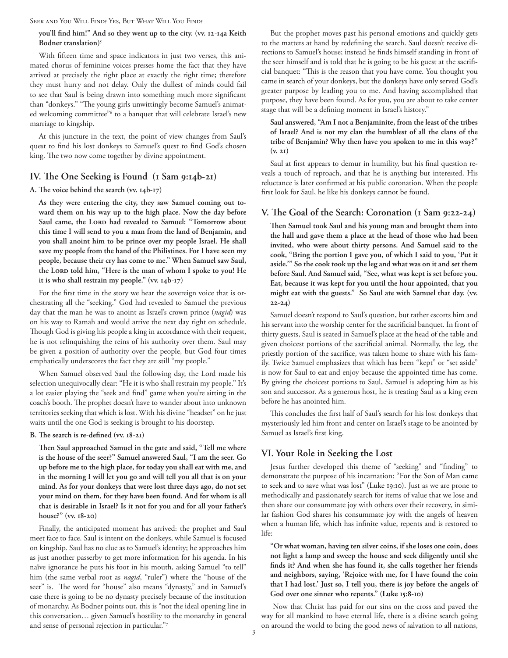Seek and You Will Find? Yes, But What Will You Find?

# **you'll find him!" And so they went up to the city. (vv. 12-14a Keith Bodner translation)5**

With fifteen time and space indicators in just two verses, this animated chorus of feminine voices presses home the fact that they have arrived at precisely the right place at exactly the right time; therefore they must hurry and not delay. Only the dullest of minds could fail to see that Saul is being drawn into something much more significant than "donkeys." "The young girls unwittingly become Samuel's animated welcoming committee"<sup>6</sup> to a banquet that will celebrate Israel's new marriage to kingship.

At this juncture in the text, the point of view changes from Saul's quest to find his lost donkeys to Samuel's quest to find God's chosen king. The two now come together by divine appointment.

# **IV. The One Seeking is Found (1 Sam 9:14b-21)**

### **A. The voice behind the search (vv. 14b-17)**

**As they were entering the city, they saw Samuel coming out toward them on his way up to the high place. Now the day before**  Saul came, the LORD had revealed to Samuel: "Tomorrow about **this time I will send to you a man from the land of Benjamin, and you shall anoint him to be prince over my people Israel. He shall save my people from the hand of the Philistines. For I have seen my people, because their cry has come to me." When Samuel saw Saul,**  the Lord told him, "Here is the man of whom I spoke to you! He **it is who shall restrain my people." (vv. 14b-17)**

For the first time in the story we hear the sovereign voice that is orchestrating all the "seeking." God had revealed to Samuel the previous day that the man he was to anoint as Israel's crown prince (*nagid*) was on his way to Ramah and would arrive the next day right on schedule. Though God is giving his people a king in accordance with their request, he is not relinquishing the reins of his authority over them. Saul may be given a position of authority over the people, but God four times emphatically underscores the fact they are still "my people."

When Samuel observed Saul the following day, the Lord made his selection unequivocally clear: "He it is who shall restrain my people." It's a lot easier playing the "seek and find" game when you're sitting in the coach's booth. The prophet doesn't have to wander about into unknown territories seeking that which is lost. With his divine "headset" on he just waits until the one God is seeking is brought to his doorstep.

### **B. The search is re-defined (vv. 18-21)**

**Then Saul approached Samuel in the gate and said, "Tell me where is the house of the seer?" Samuel answered Saul, "I am the seer. Go up before me to the high place, for today you shall eat with me, and in the morning I will let you go and will tell you all that is on your mind. As for your donkeys that were lost three days ago, do not set your mind on them, for they have been found. And for whom is all that is desirable in Israel? Is it not for you and for all your father's house?" (vv. 18-20)**

Finally, the anticipated moment has arrived: the prophet and Saul meet face to face. Saul is intent on the donkeys, while Samuel is focused on kingship. Saul has no clue as to Samuel's identity; he approaches him as just another passerby to get more information for his agenda. In his naïve ignorance he puts his foot in his mouth, asking Samuel "to tell" him (the same verbal root as *nagid*, "ruler") where the "house of the seer" is. The word for "house" also means "dynasty," and in Samuel's case there is going to be no dynasty precisely because of the institution of monarchy. As Bodner points out, this is "not the ideal opening line in this conversation… given Samuel's hostility to the monarchy in general and sense of personal rejection in particular."7

But the prophet moves past his personal emotions and quickly gets to the matters at hand by redefining the search. Saul doesn't receive directions to Samuel's house; instead he finds himself standing in front of the seer himself and is told that he is going to be his guest at the sacrificial banquet: "This is the reason that you have come. You thought you came in search of your donkeys, but the donkeys have only served God's greater purpose by leading you to me. And having accomplished that purpose, they have been found. As for you, you are about to take center stage that will be a defining moment in Israel's history."

**Saul answered, "Am I not a Benjaminite, from the least of the tribes of Israel? And is not my clan the humblest of all the clans of the tribe of Benjamin? Why then have you spoken to me in this way?" (v. 21)**

Saul at first appears to demur in humility, but his final question reveals a touch of reproach, and that he is anything but interested. His reluctance is later confirmed at his public coronation. When the people first look for Saul, he like his donkeys cannot be found.

# **V. The Goal of the Search: Coronation (1 Sam 9:22-24)**

**Then Samuel took Saul and his young man and brought them into the hall and gave them a place at the head of those who had been invited, who were about thirty persons. And Samuel said to the cook, "Bring the portion I gave you, of which I said to you, 'Put it aside.'" So the cook took up the leg and what was on it and set them before Saul. And Samuel said, "See, what was kept is set before you. Eat, because it was kept for you until the hour appointed, that you might eat with the guests." So Saul ate with Samuel that day. (vv. 22-24)**

Samuel doesn't respond to Saul's question, but rather escorts him and his servant into the worship center for the sacrificial banquet. In front of thirty guests, Saul is seated in Samuel's place at the head of the table and given choicest portions of the sacrificial animal. Normally, the leg, the priestly portion of the sacrifice, was taken home to share with his family. Twice Samuel emphasizes that which has been "kept" or "set aside" is now for Saul to eat and enjoy because the appointed time has come. By giving the choicest portions to Saul, Samuel is adopting him as his son and successor. As a generous host, he is treating Saul as a king even before he has anointed him.

This concludes the first half of Saul's search for his lost donkeys that mysteriously led him front and center on Israel's stage to be anointed by Samuel as Israel's first king.

# **VI. Your Role in Seeking the Lost**

Jesus further developed this theme of "seeking" and "finding" to demonstrate the purpose of his incarnation: "For the Son of Man came to seek and to save what was lost" (Luke 19:10). Just as we are prone to methodically and passionately search for items of value that we lose and then share our consummate joy with others over their recovery, in similar fashion God shares his consummate joy with the angels of heaven when a human life, which has infinite value, repents and is restored to life:

**"Or what woman, having ten silver coins, if she loses one coin, does not light a lamp and sweep the house and seek diligently until she finds it? And when she has found it, she calls together her friends and neighbors, saying, 'Rejoice with me, for I have found the coin that I had lost.' Just so, I tell you, there is joy before the angels of God over one sinner who repents." (Luke 15:8-10)** 

 Now that Christ has paid for our sins on the cross and paved the way for all mankind to have eternal life, there is a divine search going on around the world to bring the good news of salvation to all nations,